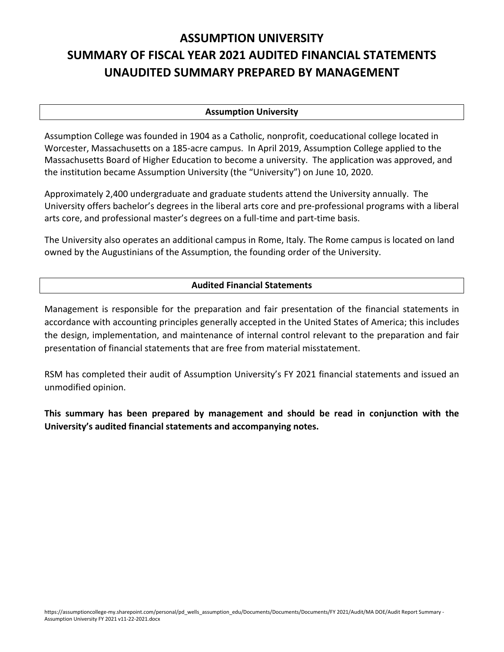# **ASSUMPTION UNIVERSITY SUMMARY OF FISCAL YEAR 2021 AUDITED FINANCIAL STATEMENTS UNAUDITED SUMMARY PREPARED BY MANAGEMENT**

#### **Assumption University**

Assumption College was founded in 1904 as a Catholic, nonprofit, coeducational college located in Worcester, Massachusetts on a 185-acre campus. In April 2019, Assumption College applied to the Massachusetts Board of Higher Education to become a university. The application was approved, and the institution became Assumption University (the "University") on June 10, 2020.

Approximately 2,400 undergraduate and graduate students attend the University annually. The University offers bachelor's degrees in the liberal arts core and pre‐professional programs with a liberal arts core, and professional master's degrees on a full‐time and part‐time basis.

The University also operates an additional campus in Rome, Italy. The Rome campus is located on land owned by the Augustinians of the Assumption, the founding order of the University.

## **Audited Financial Statements**

Management is responsible for the preparation and fair presentation of the financial statements in accordance with accounting principles generally accepted in the United States of America; this includes the design, implementation, and maintenance of internal control relevant to the preparation and fair presentation of financial statements that are free from material misstatement.

RSM has completed their audit of Assumption University's FY 2021 financial statements and issued an unmodified opinion.

**This summary has been prepared by management and should be read in conjunction with the University's audited financial statements and accompanying notes.**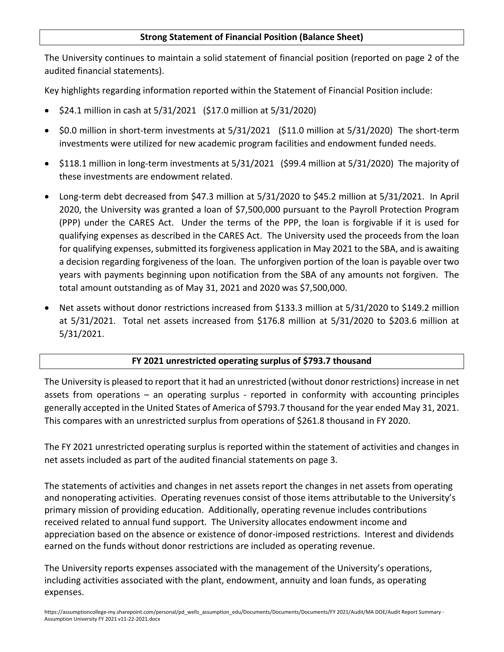## **Strong Statement of Financial Position (Balance Sheet)**

The University continues to maintain a solid statement of financial position (reported on page 2 of the audited financial statements).

Key highlights regarding information reported within the Statement of Financial Position include:

- \$24.1 million in cash at 5/31/2021 (\$17.0 million at 5/31/2020)
- \$0.0 million in short-term investments at 5/31/2021 (\$11.0 million at 5/31/2020) The short-term investments were utilized for new academic program facilities and endowment funded needs.
- \$118.1 million in long-term investments at 5/31/2021 (\$99.4 million at 5/31/2020) The majority of these investments are endowment related.
- Long‐term debt decreased from \$47.3 million at 5/31/2020 to \$45.2 million at 5/31/2021. In April 2020, the University was granted a loan of \$7,500,000 pursuant to the Payroll Protection Program (PPP) under the CARES Act. Under the terms of the PPP, the loan is forgivable if it is used for qualifying expenses as described in the CARES Act. The University used the proceeds from the loan for qualifying expenses, submitted its forgiveness application in May 2021 to the SBA, and is awaiting a decision regarding forgiveness of the loan. The unforgiven portion of the loan is payable over two years with payments beginning upon notification from the SBA of any amounts not forgiven. The total amount outstanding as of May 31, 2021 and 2020 was \$7,500,000.
- Net assets without donor restrictions increased from \$133.3 million at 5/31/2020 to \$149.2 million at 5/31/2021. Total net assets increased from \$176.8 million at 5/31/2020 to \$203.6 million at 5/31/2021.

## **FY 2021 unrestricted operating surplus of \$793.7 thousand**

The University is pleased to report that it had an unrestricted (without donor restrictions) increase in net assets from operations  $-$  an operating surplus  $-$  reported in conformity with accounting principles generally accepted in the United States of America of \$793.7 thousand for the year ended May 31, 2021. This compares with an unrestricted surplus from operations of \$261.8 thousand in FY 2020.

The FY 2021 unrestricted operating surplus is reported within the statement of activities and changes in net assets included as part of the audited financial statements on page 3.

The statements of activities and changes in net assets report the changes in net assets from operating and nonoperating activities. Operating revenues consist of those items attributable to the University's primary mission of providing education. Additionally, operating revenue includes contributions received related to annual fund support. The University allocates endowment income and appreciation based on the absence or existence of donor‐imposed restrictions. Interest and dividends earned on the funds without donor restrictions are included as operating revenue.

The University reports expenses associated with the management of the University's operations, including activities associated with the plant, endowment, annuity and loan funds, as operating expenses.